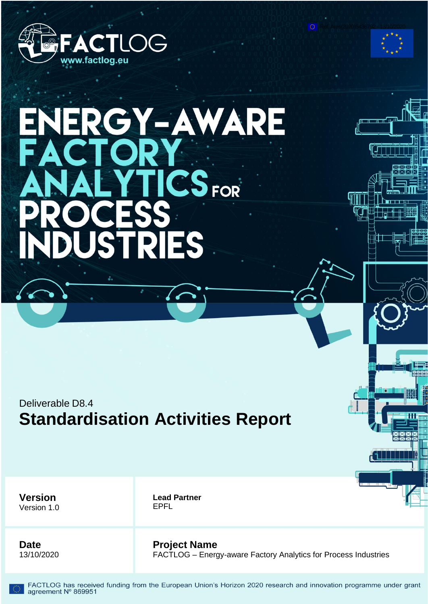

# ERGY-AWARE EX  $CS$ <sub>FOR</sub> S

# Deliverable D8.4 **Standardisation Activities Report**

**Version** Version 1.0 **Lead Partner** EPFL

**Date** 13/10/2020 **Project Name**

FACTLOG – Energy-aware Factory Analytics for Process Industries

Ref. Ares(2020)5436792 - 13/10/2020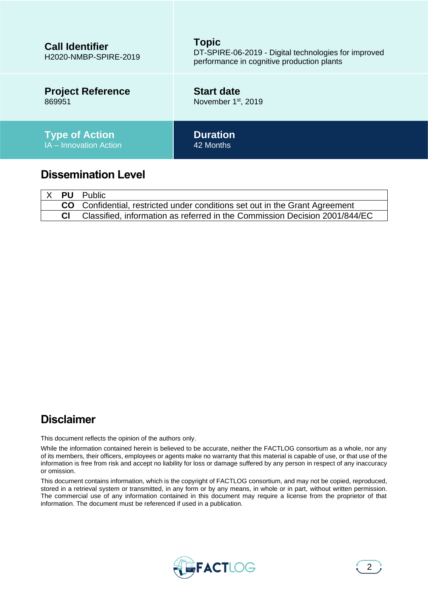| <b>Call Identifier</b><br>H2020-NMBP-SPIRE-2019 | <b>Topic</b><br>DT-SPIRE-06-2019 - Digital technologies for improved<br>performance in cognitive production plants |
|-------------------------------------------------|--------------------------------------------------------------------------------------------------------------------|
| <b>Project Reference</b>                        | <b>Start date</b>                                                                                                  |
| 869951                                          | November 1 <sup>st</sup> , 2019                                                                                    |
| <b>Type of Action</b>                           | <b>Duration</b>                                                                                                    |
| IA - Innovation Action                          | 42 Months                                                                                                          |
| <b>Dissemination Level</b>                      |                                                                                                                    |

|  | IX <b>PU</b> Public                                                         |
|--|-----------------------------------------------------------------------------|
|  | CO Confidential, restricted under conditions set out in the Grant Agreement |
|  | Classified, information as referred in the Commission Decision 2001/844/EC  |

## **Disclaimer**

This document reflects the opinion of the authors only.

While the information contained herein is believed to be accurate, neither the FACTLOG consortium as a whole, nor any of its members, their officers, employees or agents make no warranty that this material is capable of use, or that use of the information is free from risk and accept no liability for loss or damage suffered by any person in respect of any inaccuracy or omission.

This document contains information, which is the copyright of FACTLOG consortium, and may not be copied, reproduced, stored in a retrieval system or transmitted, in any form or by any means, in whole or in part, without written permission. The commercial use of any information contained in this document may require a license from the proprietor of that information. The document must be referenced if used in a publication.

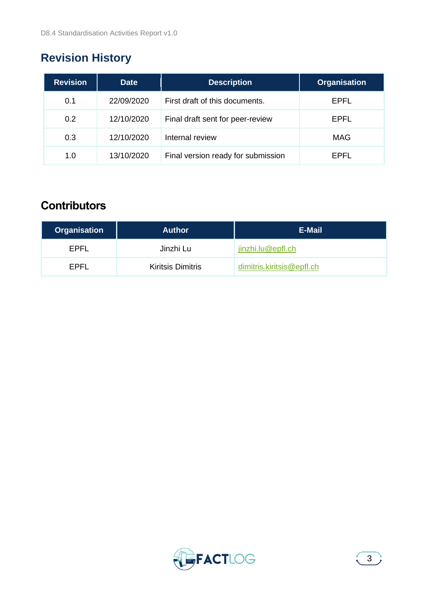# <span id="page-2-0"></span>**Revision History**

| <b>Revision</b> | <b>Date</b> | <b>Description</b>                 | <b>Organisation</b> |
|-----------------|-------------|------------------------------------|---------------------|
| 0.1             | 22/09/2020  | First draft of this documents.     | EPFL                |
| 0.2             | 12/10/2020  | Final draft sent for peer-review   | <b>EPFL</b>         |
| 0.3             | 12/10/2020  | Internal review                    | MAG                 |
| 1.0             | 13/10/2020  | Final version ready for submission | FPFI                |

# **Contributors**

| <b>Organisation</b> | <b>Author</b>            | E-Mail                    |
|---------------------|--------------------------|---------------------------|
| EPFL                | Jinzhi Lu                | jinzhi.lu@epfl.ch         |
| FPFI                | <b>Kiritsis Dimitris</b> | dimitris.kiritsis@epfl.ch |

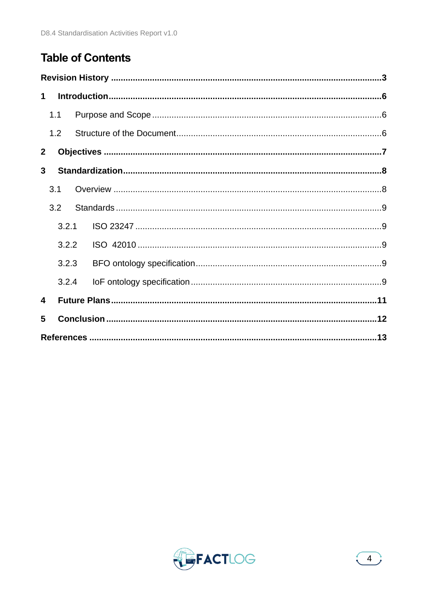# **Table of Contents**

| $\mathbf 1$  |       |  |  |
|--------------|-------|--|--|
|              | 1.1   |  |  |
|              | 1.2   |  |  |
| $\mathbf{2}$ |       |  |  |
| 3            |       |  |  |
|              | 3.1   |  |  |
|              | 3.2   |  |  |
|              | 3.2.1 |  |  |
|              | 3.2.2 |  |  |
|              | 3.2.3 |  |  |
|              | 3.2.4 |  |  |
| 4            |       |  |  |
| 5            |       |  |  |
|              |       |  |  |

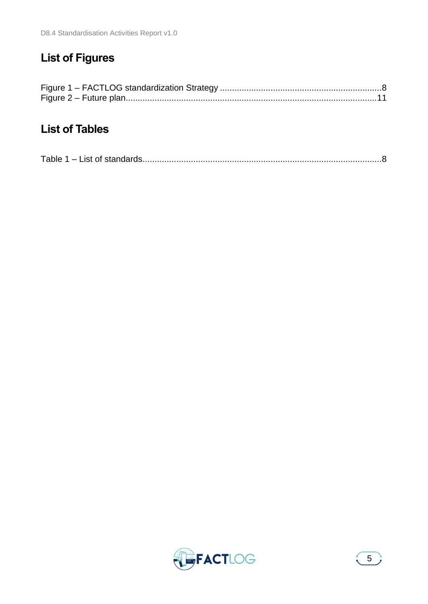# **List of Figures**

## **List of Tables**

|--|--|

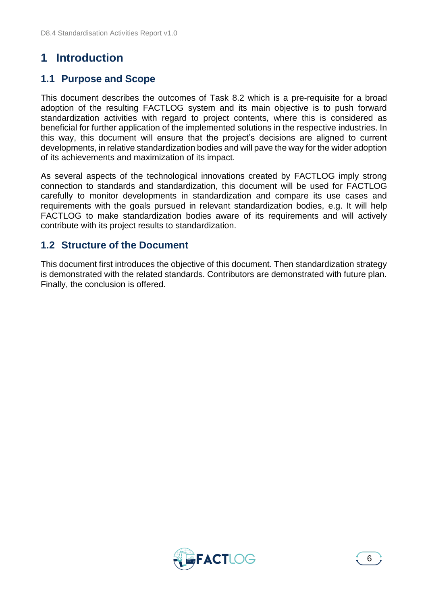## <span id="page-5-0"></span>**1 Introduction**

### <span id="page-5-1"></span>**1.1 Purpose and Scope**

This document describes the outcomes of Task 8.2 which is a pre-requisite for a broad adoption of the resulting FACTLOG system and its main objective is to push forward standardization activities with regard to project contents, where this is considered as beneficial for further application of the implemented solutions in the respective industries. In this way, this document will ensure that the project's decisions are aligned to current developments, in relative standardization bodies and will pave the way for the wider adoption of its achievements and maximization of its impact.

As several aspects of the technological innovations created by FACTLOG imply strong connection to standards and standardization, this document will be used for FACTLOG carefully to monitor developments in standardization and compare its use cases and requirements with the goals pursued in relevant standardization bodies, e.g. It will help FACTLOG to make standardization bodies aware of its requirements and will actively contribute with its project results to standardization.

#### <span id="page-5-2"></span>**1.2 Structure of the Document**

This document first introduces the objective of this document. Then standardization strategy is demonstrated with the related standards. Contributors are demonstrated with future plan. Finally, the conclusion is offered.

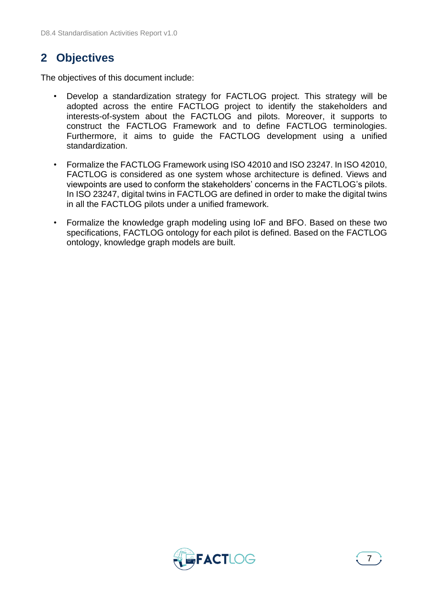## <span id="page-6-0"></span>**2 Objectives**

The objectives of this document include:

- Develop a standardization strategy for FACTLOG project. This strategy will be adopted across the entire FACTLOG project to identify the stakeholders and interests-of-system about the FACTLOG and pilots. Moreover, it supports to construct the FACTLOG Framework and to define FACTLOG terminologies. Furthermore, it aims to guide the FACTLOG development using a unified standardization.
- Formalize the FACTLOG Framework using ISO 42010 and ISO 23247. In ISO 42010, FACTLOG is considered as one system whose architecture is defined. Views and viewpoints are used to conform the stakeholders' concerns in the FACTLOG's pilots. In ISO 23247, digital twins in FACTLOG are defined in order to make the digital twins in all the FACTLOG pilots under a unified framework.
- Formalize the knowledge graph modeling using IoF and BFO. Based on these two specifications, FACTLOG ontology for each pilot is defined. Based on the FACTLOG ontology, knowledge graph models are built.

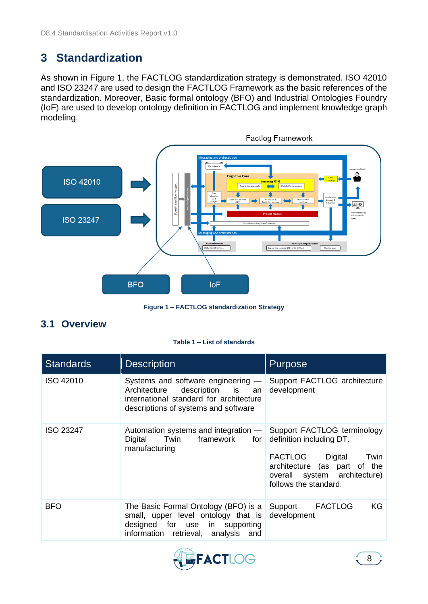## <span id="page-7-0"></span>**3 Standardization**

As shown in [Figure 1,](#page-7-2) the FACTLOG standardization strategy is demonstrated. ISO 42010 and ISO 23247 are used to design the FACTLOG Framework as the basic references of the standardization. Moreover, Basic formal ontology (BFO) and Industrial Ontologies Foundry (IoF) are used to develop ontology definition in FACTLOG and implement knowledge graph modeling.



**Figure 1 – FACTLOG standardization Strategy**

## <span id="page-7-2"></span><span id="page-7-1"></span>**3.1 Overview**

#### **Table 1 – List of standards**

<span id="page-7-3"></span>

| <b>Standards</b> | <b>Description</b>                                                                                                                                        | <b>Purpose</b>                                                                                                                               |  |  |
|------------------|-----------------------------------------------------------------------------------------------------------------------------------------------------------|----------------------------------------------------------------------------------------------------------------------------------------------|--|--|
| ISO 42010        | Systems and software engineering $-$<br>Architecture description is an<br>international standard for architecture<br>descriptions of systems and software | Support FACTLOG architecture<br>development                                                                                                  |  |  |
| ISO 23247        | Automation systems and integration — Support FACTLOG terminology<br>framework for<br>Digital<br>Twin<br>manufacturing                                     | definition including DT.<br>FACTLOG Digital<br>Twin<br>architecture (as part of the<br>overall system architecture)<br>follows the standard. |  |  |
| <b>BFO</b>       | The Basic Formal Ontology (BFO) is a<br>small, upper level ontology that is<br>designed for use in supporting<br>information retrieval, analysis and      | KG<br>Support FACTLOG<br>development                                                                                                         |  |  |

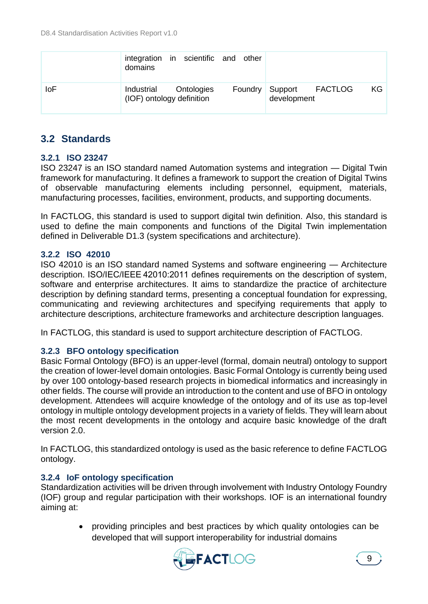|            | domains                   | integration in scientific and other |                                        |    |
|------------|---------------------------|-------------------------------------|----------------------------------------|----|
| <b>IoF</b> | (IOF) ontology definition | Industrial Ontologies               | Foundry Support FACTLOG<br>development | KG |

## <span id="page-8-0"></span>**3.2 Standards**

#### <span id="page-8-1"></span>**3.2.1 ISO 23247**

ISO 23247 is an ISO standard named Automation systems and integration — Digital Twin framework for manufacturing. It defines a framework to support the creation of Digital Twins of observable manufacturing elements including personnel, equipment, materials, manufacturing processes, facilities, environment, products, and supporting documents.

In FACTLOG, this standard is used to support digital twin definition. Also, this standard is used to define the main components and functions of the Digital Twin implementation defined in Deliverable D1.3 (system specifications and architecture).

#### <span id="page-8-2"></span>**3.2.2 ISO 42010**

ISO 42010 is an ISO standard named Systems and software engineering — Architecture description. ISO/IEC/IEEE 42010:2011 defines requirements on the description of system, software and enterprise architectures. It aims to standardize the practice of architecture description by defining standard terms, presenting a conceptual foundation for expressing, communicating and reviewing architectures and specifying requirements that apply to architecture descriptions, architecture frameworks and architecture description languages.

In FACTLOG, this standard is used to support architecture description of FACTLOG.

#### <span id="page-8-3"></span>**3.2.3 BFO ontology specification**

Basic Formal Ontology (BFO) is an upper-level (formal, domain neutral) ontology to support the creation of lower-level domain ontologies. Basic Formal Ontology is currently being used by over 100 ontology-based research projects in biomedical informatics and increasingly in other fields. The course will provide an introduction to the content and use of BFO in ontology development. Attendees will acquire knowledge of the ontology and of its use as top-level ontology in multiple ontology development projects in a variety of fields. They will learn about the most recent developments in the ontology and acquire basic knowledge of the draft version 2.0.

In FACTLOG, this standardized ontology is used as the basic reference to define FACTLOG ontology.

#### <span id="page-8-4"></span>**3.2.4 IoF ontology specification**

Standardization activities will be driven through involvement with Industry Ontology Foundry (IOF) group and regular participation with their workshops. IOF is an international foundry aiming at:

> • providing principles and best practices by which quality ontologies can be developed that will support interoperability for industrial domains

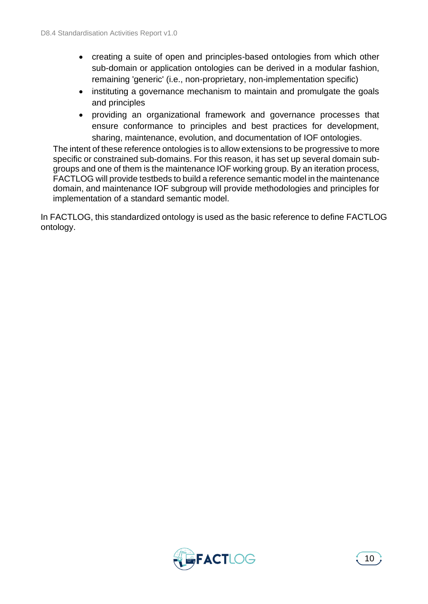- creating a suite of open and principles-based ontologies from which other sub-domain or application ontologies can be derived in a modular fashion, remaining 'generic' (i.e., non-proprietary, non-implementation specific)
- instituting a governance mechanism to maintain and promulgate the goals and principles
- providing an organizational framework and governance processes that ensure conformance to principles and best practices for development, sharing, maintenance, evolution, and documentation of IOF ontologies.

The intent of these reference ontologies is to allow extensions to be progressive to more specific or constrained sub-domains. For this reason, it has set up several domain subgroups and one of them is the maintenance IOF working group. By an iteration process, FACTLOG will provide testbeds to build a reference semantic model in the maintenance domain, and maintenance IOF subgroup will provide methodologies and principles for implementation of a standard semantic model.

In FACTLOG, this standardized ontology is used as the basic reference to define FACTLOG ontology.

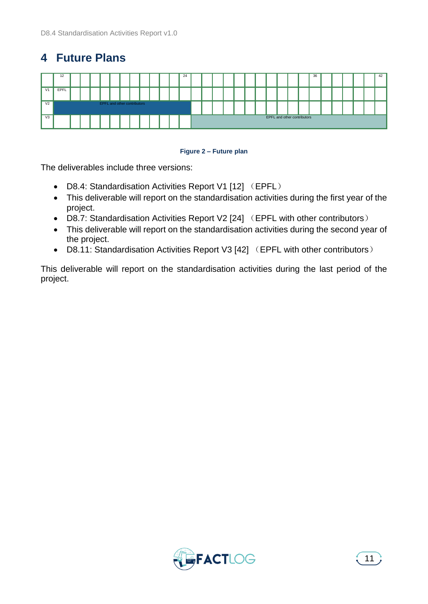# <span id="page-10-0"></span>**4 Future Plans**



#### **Figure 2 – Future plan**

<span id="page-10-1"></span>The deliverables include three versions:

- D8.4: Standardisation Activities Report V1 [12] (EPFL)
- This deliverable will report on the standardisation activities during the first year of the project.
- D8.7: Standardisation Activities Report V2 [24] (EPFL with other contributors)
- This deliverable will report on the standardisation activities during the second year of the project.
- D8.11: Standardisation Activities Report V3 [42] (EPFL with other contributors)

This deliverable will report on the standardisation activities during the last period of the project.

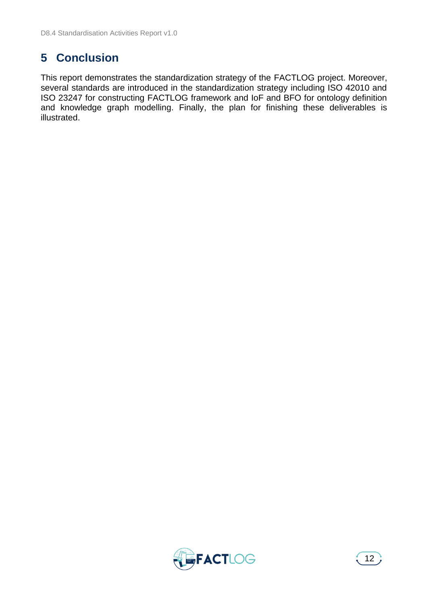# <span id="page-11-0"></span>**5 Conclusion**

This report demonstrates the standardization strategy of the FACTLOG project. Moreover, several standards are introduced in the standardization strategy including ISO 42010 and ISO 23247 for constructing FACTLOG framework and IoF and BFO for ontology definition and knowledge graph modelling. Finally, the plan for finishing these deliverables is illustrated.